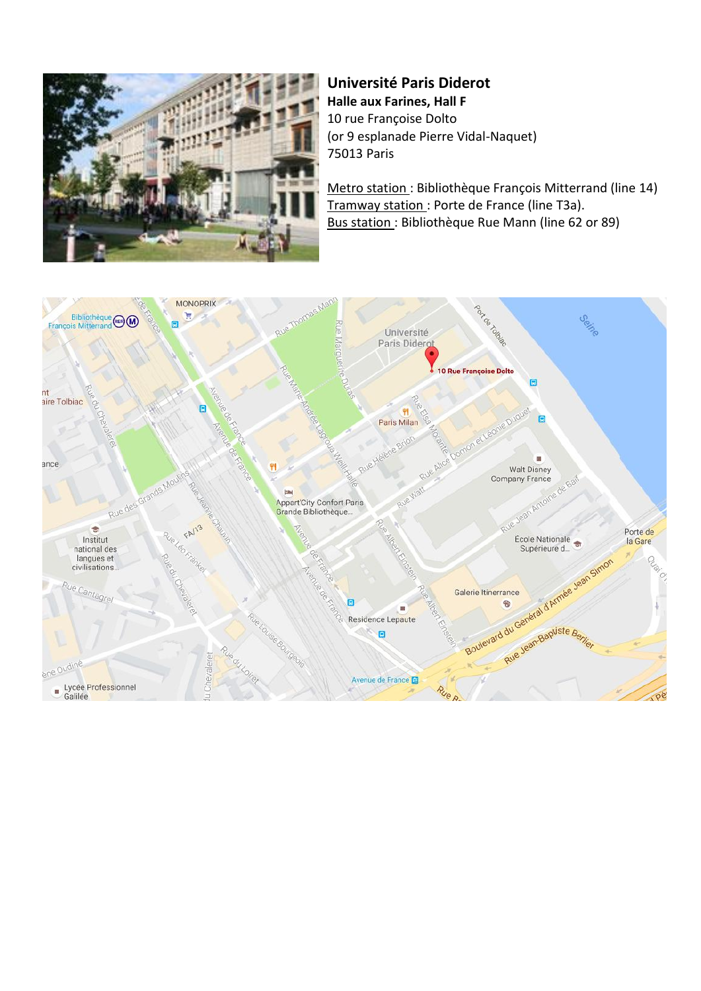

### **Université Paris Diderot Halle aux Farines, Hall F** 10 rue Françoise Dolto (or 9 esplanade Pierre Vidal-Naquet) 75013 Paris

Metro station : Bibliothèque François Mitterrand (line 14) Tramway station : Porte de France (line T3a). Bus station : Bibliothèque Rue Mann (line 62 or 89)

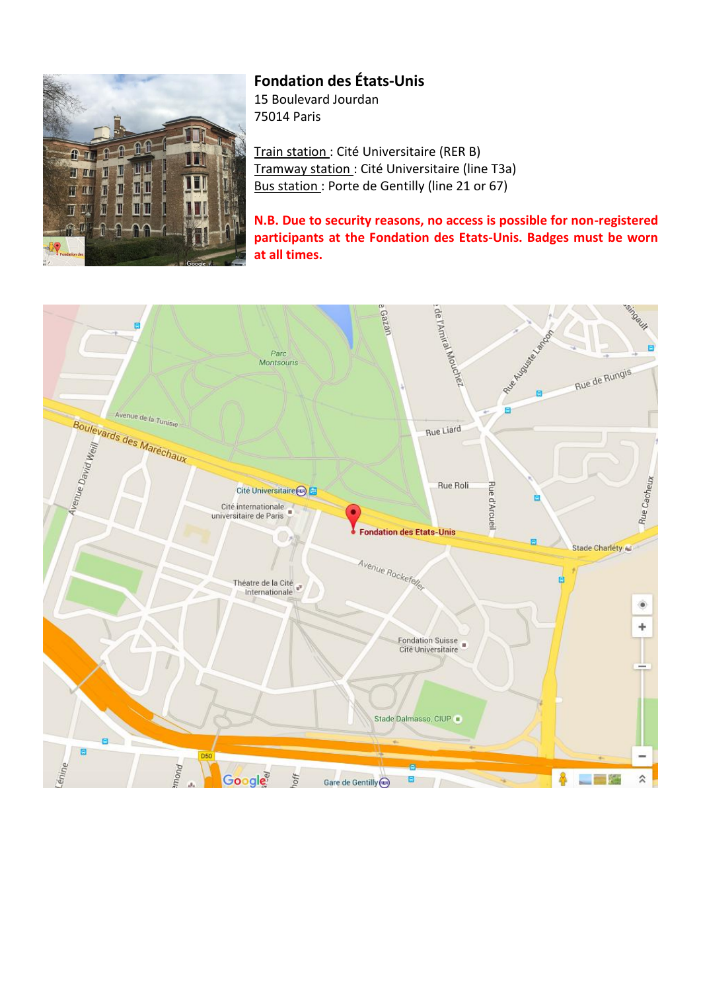

## **Fondation des États-Unis**

15 Boulevard Jourdan 75014 Paris

Train station : Cité Universitaire (RER B) Tramway station : Cité Universitaire (line T3a) Bus station : Porte de Gentilly (line 21 or 67)

**N.B. Due to security reasons, no access is possible for non-registered participants at the Fondation des Etats-Unis. Badges must be worn at all times.**

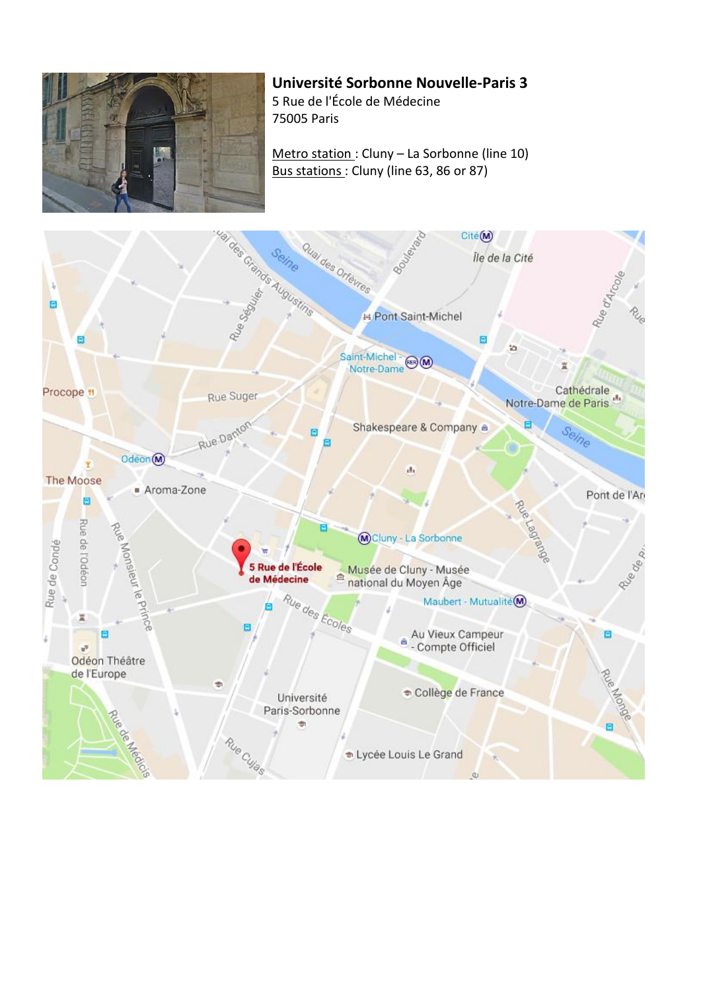

# **Université Sorbonne Nouvelle-Paris 3**

5 Rue de l'École de Médecine 75005 Paris

Metro station : Cluny – La Sorbonne (line 10) Bus stations : Cluny (line 63, 86 or 87)